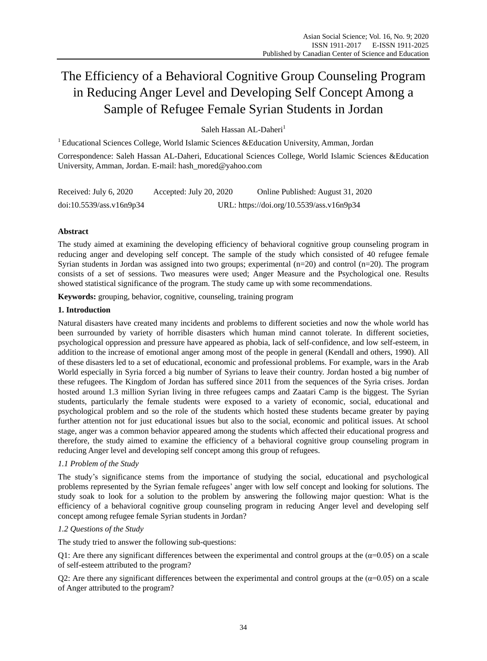# The Efficiency of a Behavioral Cognitive Group Counseling Program in Reducing Anger Level and Developing Self Concept Among a Sample of Refugee Female Syrian Students in Jordan

Saleh Hassan AL-Daheri<sup>1</sup>

<sup>1</sup> Educational Sciences College, World Islamic Sciences & Education University, Amman, Jordan

Correspondence: Saleh Hassan AL-Daheri, Educational Sciences College, World Islamic Sciences &Education University, Amman, Jordan. E-mail: hash\_mored@yahoo.com

| Received: July 6, 2020   | Accepted: July 20, 2020 | Online Published: August 31, 2020         |
|--------------------------|-------------------------|-------------------------------------------|
| doi:10.5539/ass.v16n9p34 |                         | URL: https://doi.org/10.5539/ass.v16n9p34 |

# **Abstract**

The study aimed at examining the developing efficiency of behavioral cognitive group counseling program in reducing anger and developing self concept. The sample of the study which consisted of 40 refugee female Syrian students in Jordan was assigned into two groups; experimental  $(n=20)$  and control  $(n=20)$ . The program consists of a set of sessions. Two measures were used; Anger Measure and the Psychological one. Results showed statistical significance of the program. The study came up with some recommendations.

**Keywords:** grouping, behavior, cognitive, counseling, training program

## **1. Introduction**

Natural disasters have created many incidents and problems to different societies and now the whole world has been surrounded by variety of horrible disasters which human mind cannot tolerate. In different societies, psychological oppression and pressure have appeared as phobia, lack of self-confidence, and low self-esteem, in addition to the increase of emotional anger among most of the people in general (Kendall and others, 1990). All of these disasters led to a set of educational, economic and professional problems. For example, wars in the Arab World especially in Syria forced a big number of Syrians to leave their country. Jordan hosted a big number of these refugees. The Kingdom of Jordan has suffered since 2011 from the sequences of the Syria crises. Jordan hosted around 1.3 million Syrian living in three refugees camps and Zaatari Camp is the biggest. The Syrian students, particularly the female students were exposed to a variety of economic, social, educational and psychological problem and so the role of the students which hosted these students became greater by paying further attention not for just educational issues but also to the social, economic and political issues. At school stage, anger was a common behavior appeared among the students which affected their educational progress and therefore, the study aimed to examine the efficiency of a behavioral cognitive group counseling program in reducing Anger level and developing self concept among this group of refugees.

# *1.1 Problem of the Study*

The study's significance stems from the importance of studying the social, educational and psychological problems represented by the Syrian female refugees' anger with low self concept and looking for solutions. The study soak to look for a solution to the problem by answering the following major question: What is the efficiency of a behavioral cognitive group counseling program in reducing Anger level and developing self concept among refugee female Syrian students in Jordan?

## *1.2 Questions of the Study*

The study tried to answer the following sub-questions:

Q1: Are there any significant differences between the experimental and control groups at the  $(\alpha=0.05)$  on a scale of self-esteem attributed to the program?

Q2: Are there any significant differences between the experimental and control groups at the  $(\alpha=0.05)$  on a scale of Anger attributed to the program?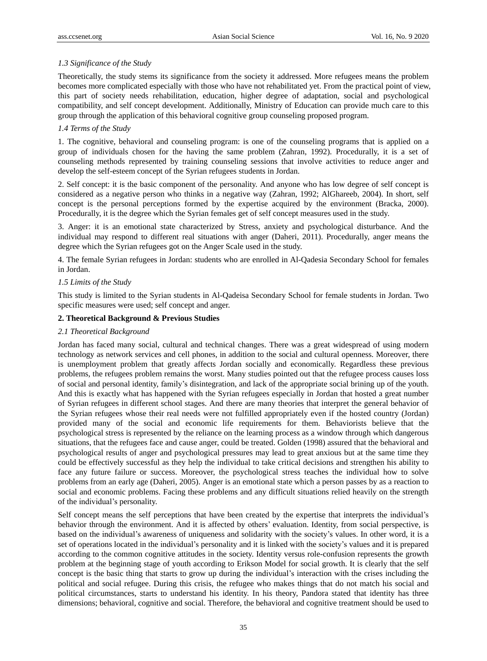## *1.3 Significance of the Study*

Theoretically, the study stems its significance from the society it addressed. More refugees means the problem becomes more complicated especially with those who have not rehabilitated yet. From the practical point of view, this part of society needs rehabilitation, education, higher degree of adaptation, social and psychological compatibility, and self concept development. Additionally, Ministry of Education can provide much care to this group through the application of this behavioral cognitive group counseling proposed program.

## *1.4 Terms of the Study*

1. The cognitive, behavioral and counseling program: is one of the counseling programs that is applied on a group of individuals chosen for the having the same problem (Zahran, 1992). Procedurally, it is a set of counseling methods represented by training counseling sessions that involve activities to reduce anger and develop the self-esteem concept of the Syrian refugees students in Jordan.

2. Self concept: it is the basic component of the personality. And anyone who has low degree of self concept is considered as a negative person who thinks in a negative way (Zahran, 1992; AlGhareeb, 2004). In short, self concept is the personal perceptions formed by the expertise acquired by the environment (Bracka, 2000). Procedurally, it is the degree which the Syrian females get of self concept measures used in the study.

3. Anger: it is an emotional state characterized by Stress, anxiety and psychological disturbance. And the individual may respond to different real situations with anger (Daheri, 2011). Procedurally, anger means the degree which the Syrian refugees got on the Anger Scale used in the study.

4. The female Syrian refugees in Jordan: students who are enrolled in Al-Qadesia Secondary School for females in Jordan.

## *1.5 Limits of the Study*

This study is limited to the Syrian students in Al-Qadeisa Secondary School for female students in Jordan. Two specific measures were used; self concept and anger.

## **2. Theoretical Background & Previous Studies**

## *2.1 Theoretical Background*

Jordan has faced many social, cultural and technical changes. There was a great widespread of using modern technology as network services and cell phones, in addition to the social and cultural openness. Moreover, there is unemployment problem that greatly affects Jordan socially and economically. Regardless these previous problems, the refugees problem remains the worst. Many studies pointed out that the refugee process causes loss of social and personal identity, family's disintegration, and lack of the appropriate social brining up of the youth. And this is exactly what has happened with the Syrian refugees especially in Jordan that hosted a great number of Syrian refugees in different school stages. And there are many theories that interpret the general behavior of the Syrian refugees whose their real needs were not fulfilled appropriately even if the hosted country (Jordan) provided many of the social and economic life requirements for them. Behaviorists believe that the psychological stress is represented by the reliance on the learning process as a window through which dangerous situations, that the refugees face and cause anger, could be treated. Golden (1998) assured that the behavioral and psychological results of anger and psychological pressures may lead to great anxious but at the same time they could be effectively successful as they help the individual to take critical decisions and strengthen his ability to face any future failure or success. Moreover, the psychological stress teaches the individual how to solve problems from an early age (Daheri, 2005). Anger is an emotional state which a person passes by as a reaction to social and economic problems. Facing these problems and any difficult situations relied heavily on the strength of the individual's personality.

Self concept means the self perceptions that have been created by the expertise that interprets the individual's behavior through the environment. And it is affected by others' evaluation. Identity, from social perspective, is based on the individual's awareness of uniqueness and solidarity with the society's values. In other word, it is a set of operations located in the individual's personality and it is linked with the society's values and it is prepared according to the common cognitive attitudes in the society. Identity versus role-confusion represents the growth problem at the beginning stage of youth according to Erikson Model for social growth. It is clearly that the self concept is the basic thing that starts to grow up during the individual's interaction with the crises including the political and social refugee. During this crisis, the refugee who makes things that do not match his social and political circumstances, starts to understand his identity. In his theory, Pandora stated that identity has three dimensions; behavioral, cognitive and social. Therefore, the behavioral and cognitive treatment should be used to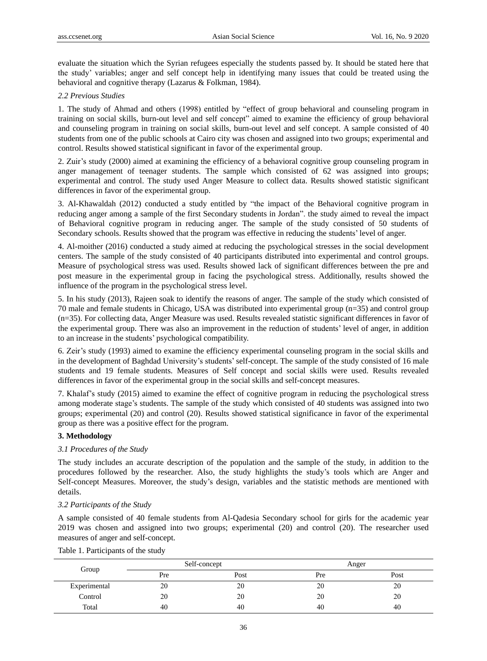evaluate the situation which the Syrian refugees especially the students passed by. It should be stated here that the study' variables; anger and self concept help in identifying many issues that could be treated using the behavioral and cognitive therapy (Lazarus & Folkman, 1984).

#### *2.2 Previous Studies*

1. The study of Ahmad and others (1998) entitled by "effect of group behavioral and counseling program in training on social skills, burn-out level and self concept" aimed to examine the efficiency of group behavioral and counseling program in training on social skills, burn-out level and self concept. A sample consisted of 40 students from one of the public schools at Cairo city was chosen and assigned into two groups; experimental and control. Results showed statistical significant in favor of the experimental group.

2. Zuir's study (2000) aimed at examining the efficiency of a behavioral cognitive group counseling program in anger management of teenager students. The sample which consisted of 62 was assigned into groups; experimental and control. The study used Anger Measure to collect data. Results showed statistic significant differences in favor of the experimental group.

3. Al-Khawaldah (2012) conducted a study entitled by "the impact of the Behavioral cognitive program in reducing anger among a sample of the first Secondary students in Jordan". the study aimed to reveal the impact of Behavioral cognitive program in reducing anger. The sample of the study consisted of 50 students of Secondary schools. Results showed that the program was effective in reducing the students' level of anger.

4. Al-moither (2016) conducted a study aimed at reducing the psychological stresses in the social development centers. The sample of the study consisted of 40 participants distributed into experimental and control groups. Measure of psychological stress was used. Results showed lack of significant differences between the pre and post measure in the experimental group in facing the psychological stress. Additionally, results showed the influence of the program in the psychological stress level.

5. In his study (2013), Rajeen soak to identify the reasons of anger. The sample of the study which consisted of 70 male and female students in Chicago, USA was distributed into experimental group (n=35) and control group (n=35). For collecting data, Anger Measure was used. Results revealed statistic significant differences in favor of the experimental group. There was also an improvement in the reduction of students' level of anger, in addition to an increase in the students' psychological compatibility.

6. Zeir's study (1993) aimed to examine the efficiency experimental counseling program in the social skills and in the development of Baghdad University's students'self-concept. The sample of the study consisted of 16 male students and 19 female students. Measures of Self concept and social skills were used. Results revealed differences in favor of the experimental group in the social skills and self-concept measures.

7. Khalaf's study (2015) aimed to examine the effect of cognitive program in reducing the psychological stress among moderate stage's students. The sample of the study which consisted of 40 students was assigned into two groups; experimental (20) and control (20). Results showed statistical significance in favor of the experimental group as there was a positive effect for the program.

#### **3. Methodology**

#### *3.1 Procedures of the Study*

The study includes an accurate description of the population and the sample of the study, in addition to the procedures followed by the researcher. Also, the study highlights the study's tools which are Anger and Self-concept Measures. Moreover, the study's design, variables and the statistic methods are mentioned with details.

#### *3.2 Participants of the Study*

A sample consisted of 40 female students from Al-Qadesia Secondary school for girls for the academic year 2019 was chosen and assigned into two groups; experimental (20) and control (20). The researcher used measures of anger and self-concept.

| Group        | Self-concept |      | Anger |      |
|--------------|--------------|------|-------|------|
|              | Pre          | Post | Pre   | Post |
| Experimental | 20           | 20   | 20    | 20   |
| Control      | 20           | 20   | 20    | 20   |
| Total        | 40           | 40   | 40    | 40   |

Table 1. Participants of the study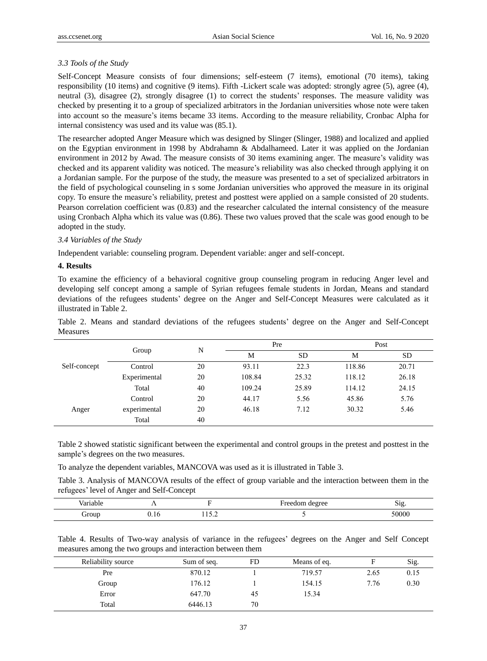## *3.3 Tools of the Study*

Self-Concept Measure consists of four dimensions; self-esteem (7 items), emotional (70 items), taking responsibility (10 items) and cognitive (9 items). Fifth -Lickert scale was adopted: strongly agree (5), agree (4), neutral (3), disagree (2), strongly disagree (1) to correct the students' responses. The measure validity was checked by presenting it to a group of specialized arbitrators in the Jordanian universities whose note were taken into account so the measure's items became 33 items. According to the measure reliability, Cronbac Alpha for internal consistency was used and its value was (85.1).

The researcher adopted Anger Measure which was designed by Slinger (Slinger, 1988) and localized and applied on the Egyptian environment in 1998 by Abdrahamn & Abdalhameed. Later it was applied on the Jordanian environment in 2012 by Awad. The measure consists of 30 items examining anger. The measure's validity was checked and its apparent validity was noticed. The measure's reliability was also checked through applying it on a Jordanian sample. For the purpose of the study, the measure was presented to a set of specialized arbitrators in the field of psychological counseling in s some Jordanian universities who approved the measure in its original copy. To ensure the measure's reliability, pretest and posttest were applied on a sample consisted of 20 students. Pearson correlation coefficient was (0.83) and the researcher calculated the internal consistency of the measure using Cronbach Alpha which its value was (0.86). These two values proved that the scale was good enough to be adopted in the study.

## *3.4 Variables of the Study*

Independent variable: counseling program. Dependent variable: anger and self-concept.

#### **4. Results**

To examine the efficiency of a behavioral cognitive group counseling program in reducing Anger level and developing self concept among a sample of Syrian refugees female students in Jordan, Means and standard deviations of the refugees students' degree on the Anger and Self-Concept Measures were calculated as it illustrated in Table 2.

Table 2. Means and standard deviations of the refugees students' degree on the Anger and Self-Concept Measures

|              |              | N  | Pre    |       | Post   |       |
|--------------|--------------|----|--------|-------|--------|-------|
|              | Group        |    | M      | SD    | M      | SD    |
| Self-concept | Control      | 20 | 93.11  | 22.3  | 118.86 | 20.71 |
|              | Experimental | 20 | 108.84 | 25.32 | 118.12 | 26.18 |
|              | Total        | 40 | 109.24 | 25.89 | 114.12 | 24.15 |
|              | Control      | 20 | 44.17  | 5.56  | 45.86  | 5.76  |
| Anger        | experimental | 20 | 46.18  | 7.12  | 30.32  | 5.46  |
|              | Total        | 40 |        |       |        |       |

Table 2 showed statistic significant between the experimental and control groups in the pretest and posttest in the sample's degrees on the two measures.

To analyze the dependent variables, MANCOVA was used as it is illustrated in Table 3.

Table 3. Analysis of MANCOVA results of the effect of group variable and the interaction between them in the refugees' level of Anger and Self-Concept

| 10 <sup>1</sup><br>. |                                 | earron<br><b>CAR</b><br>. 14<br>.cc<br>$-$<br>c | ນ ເຂ.<br>c |
|----------------------|---------------------------------|-------------------------------------------------|------------|
| $J_{\rm T}$ our      | $\sim$ $\sim$ $\sim$<br>_______ |                                                 | 50000      |

Table 4. Results of Two-way analysis of variance in the refugees' degrees on the Anger and Self Concept measures among the two groups and interaction between them

| Reliability source | Sum of seq. | FD | Means of eq. |      | Sig. |
|--------------------|-------------|----|--------------|------|------|
| Pre                | 870.12      |    | 719.57       | 2.65 | 0.15 |
| Group              | 176.12      |    | 154.15       | 7.76 | 0.30 |
| Error              | 647.70      | 45 | 15.34        |      |      |
| Total              | 6446.13     | 70 |              |      |      |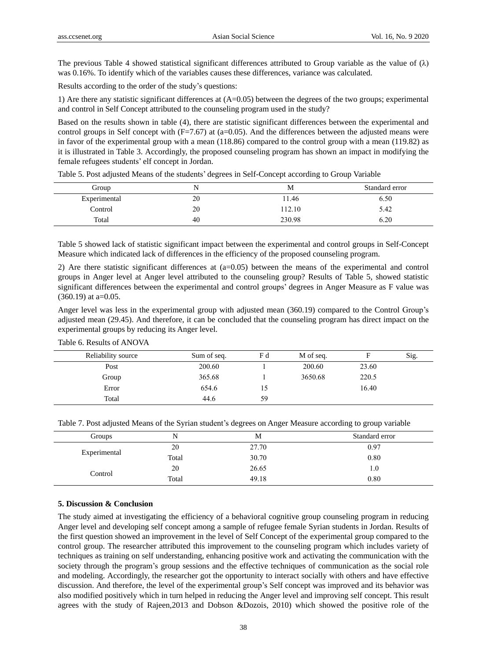The previous Table 4 showed statistical significant differences attributed to Group variable as the value of  $(\lambda)$ was 0.16%. To identify which of the variables causes these differences, variance was calculated.

Results according to the order of the study's questions:

1) Are there any statistic significant differences at (A=0.05) between the degrees of the two groups; experimental and control in Self Concept attributed to the counseling program used in the study?

Based on the results shown in table (4), there are statistic significant differences between the experimental and control groups in Self concept with  $(F=7.67)$  at (a=0.05). And the differences between the adjusted means were in favor of the experimental group with a mean (118.86) compared to the control group with a mean (119.82) as it is illustrated in Table 3. Accordingly, the proposed counseling program has shown an impact in modifying the female refugees students' elf concept in Jordan.

| Group        | N  | М      | Standard error |
|--------------|----|--------|----------------|
| Experimental | 20 | 11.46  | 6.50           |
| Control      | 20 | 112.10 | 5.42           |
| Total        | 40 | 230.98 | 6.20           |

Table 5. Post adjusted Means of the students' degrees in Self-Concept according to Group Variable

Table 5 showed lack of statistic significant impact between the experimental and control groups in Self-Concept Measure which indicated lack of differences in the efficiency of the proposed counseling program.

2) Are there statistic significant differences at (a=0.05) between the means of the experimental and control groups in Anger level at Anger level attributed to the counseling group? Results of Table 5, showed statistic significant differences between the experimental and control groups' degrees in Anger Measure as F value was  $(360.19)$  at a=0.05.

Anger level was less in the experimental group with adjusted mean (360.19) compared to the Control Group's adjusted mean (29.45). And therefore, it can be concluded that the counseling program has direct impact on the experimental groups by reducing its Anger level.

| Reliability source | Sum of seq. | Fd | M of seq. |       | Sig. |
|--------------------|-------------|----|-----------|-------|------|
| Post               | 200.60      |    | 200.60    | 23.60 |      |
| Group              | 365.68      |    | 3650.68   | 220.5 |      |
| Error              | 654.6       | L) |           | 16.40 |      |
| Total              | 44.6        | 59 |           |       |      |

Table 6. Results of ANOVA

| Table 7. Post adjusted Means of the Syrian student's degrees on Anger Measure according to group variable |  |  |  |
|-----------------------------------------------------------------------------------------------------------|--|--|--|
|                                                                                                           |  |  |  |

| Groups       | N     | M     | Standard error |
|--------------|-------|-------|----------------|
| Experimental | 20    | 27.70 | 0.97           |
|              | Total | 30.70 | 0.80           |
| Control      | 20    | 26.65 | 1.0            |
|              | Total | 49.18 | 0.80           |

#### **5. Discussion & Conclusion**

The study aimed at investigating the efficiency of a behavioral cognitive group counseling program in reducing Anger level and developing self concept among a sample of refugee female Syrian students in Jordan. Results of the first question showed an improvement in the level of Self Concept of the experimental group compared to the control group. The researcher attributed this improvement to the counseling program which includes variety of techniques as training on self understanding, enhancing positive work and activating the communication with the society through the program's group sessions and the effective techniques of communication as the social role and modeling. Accordingly, the researcher got the opportunity to interact socially with others and have effective discussion. And therefore, the level of the experimental group's Self concept was improved and its behavior was also modified positively which in turn helped in reducing the Anger level and improving self concept. This result agrees with the study of Rajeen,2013 and Dobson &Dozois, 2010) which showed the positive role of the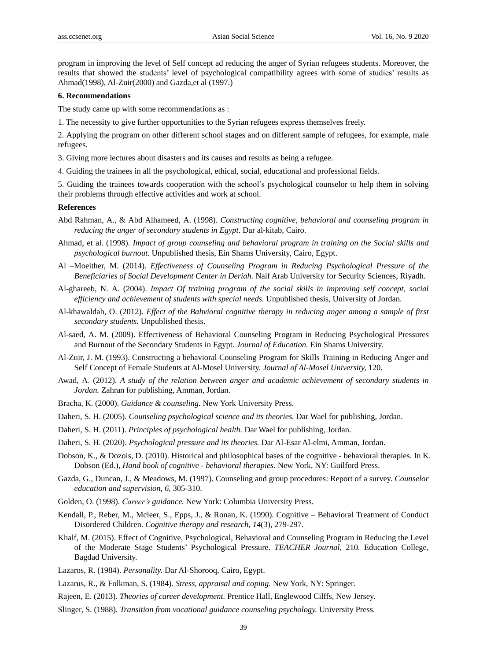program in improving the level of Self concept ad reducing the anger of Syrian refugees students. Moreover, the results that showed the students' level of psychological compatibility agrees with some of studies' results as Ahmad(1998), Al-Zuir(2000) and Gazda,et al (1997.)

#### **6. Recommendations**

The study came up with some recommendations as :

- 1. The necessity to give further opportunities to the Syrian refugees express themselves freely.
- 2. Applying the program on other different school stages and on different sample of refugees, for example, male refugees.
- 3. Giving more lectures about disasters and its causes and results as being a refugee.
- 4. Guiding the trainees in all the psychological, ethical, social, educational and professional fields.

5. Guiding the trainees towards cooperation with the school's psychological counselor to help them in solving their problems through effective activities and work at school.

#### **References**

- Abd Rahman, A., & Abd Alhameed, A. (1998). *Constructing cognitive, behavioral and counseling program in reducing the anger of secondary students in Egypt*. Dar al-kitab, Cairo.
- Ahmad, et al. (1998). *Impact of group counseling and behavioral program in training on the Social skills and psychological burnout.* Unpublished thesis, Ein Shams University, Cairo, Egypt.
- Al –Moeither, M. (2014). *Effectiveness of Counseling Program in Reducing Psychological Pressure of the Beneficiaries of Social Development Center in Deriah.* Naif Arab University for Security Sciences, Riyadh.
- Al-ghareeb, N. A. (2004). *Impact Of training program of the social skills in improving self concept, social efficiency and achievement of students with special needs.* Unpublished thesis, University of Jordan.
- Al-khawaldah, O. (2012). *Effect of the Bahvioral cognitive therapy in reducing anger among a sample of first secondary students.* Unpublished thesis.
- Al-saed, A. M. (2009). Effectiveness of Behavioral Counseling Program in Reducing Psychological Pressures and Burnout of the Secondary Students in Egypt. *Journal of Education.* Ein Shams University.
- Al-Zuir, J. M. (1993). Constructing a behavioral Counseling Program for Skills Training in Reducing Anger and Self Concept of Female Students at Al-Mosel University. *Journal of Al-Mosel University,* 120.
- Awad, A. (2012). *A study of the relation between anger and academic achievement of secondary students in Jordan.* Zahran for publishing, Amman, Jordan.
- Bracha, K. (2000). *Guidance & counseling.* New York University Press.
- Daheri, S. H. (2005). *Counseling psychological science and its theories.* Dar Wael for publishing, Jordan.
- Daheri, S. H. (2011). *Principles of psychological health.* Dar Wael for publishing, Jordan.
- Daheri, S. H. (2020). *Psychological pressure and its theories.* Dar Al-Esar Al-elmi, Amman, Jordan.
- Dobson, K., & Dozois, D. (2010). Historical and philosophical bases of the cognitive behavioral therapies. In K. Dobson (Ed.), *Hand book of cognitive - behavioral therapies.* New York, NY: Guilford Press.
- Gazda, G., Duncan, J., & Meadows, M. (1997). Counseling and group procedures: Report of a survey. *Counselor education and supervision, 6,* 305-310.
- Golden, O. (1998). *Career's guidance.* New York: Columbia University Press.
- Kendall, P., Reber, M., Mcleer, S., Epps, J., & Ronan, K. (1990). Cognitive Behavioral Treatment of Conduct Disordered Children. *Cognitive therapy and research, 14*(3), 279-297.
- Khalf, M. (2015). Effect of Cognitive, Psychological, Behavioral and Counseling Program in Reducing the Level of the Moderate Stage Students' Psychological Pressure. *TEACHER Journal,* 210*.* Education College, Bagdad University.
- Lazaros, R. (1984). *Personality.* Dar Al-Shorooq, Cairo, Egypt.
- Lazarus, R., & Folkman, S. (1984). *Stress, appraisal and coping.* New York, NY: Springer.
- Rajeen, E. (2013). *Theories of career development.* Prentice Hall, Englewood Cilffs, New Jersey.
- Slinger, S. (1988). *Transition from vocational guidance counseling psychology.* University Press.